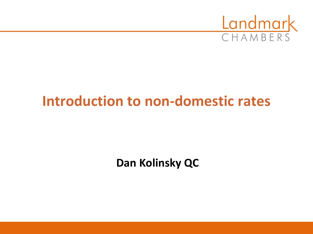

# **Introduction to non-domestic rates**

**Dan Kolinsky QC**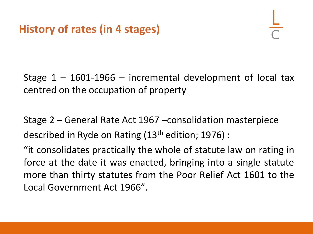Stage  $1 - 1601 - 1966 -$  incremental development of local tax centred on the occupation of property

Stage 2 – General Rate Act 1967 –consolidation masterpiece described in Ryde on Rating (13th edition; 1976) :

"it consolidates practically the whole of statute law on rating in force at the date it was enacted, bringing into a single statute more than thirty statutes from the Poor Relief Act 1601 to the Local Government Act 1966".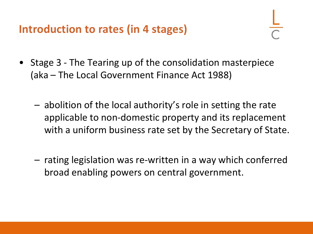**Introduction to rates (in 4 stages)** 

- Stage 3 The Tearing up of the consolidation masterpiece (aka – The Local Government Finance Act 1988)
	- abolition of the local authority's role in setting the rate applicable to non-domestic property and its replacement with a uniform business rate set by the Secretary of State.
	- rating legislation was re-written in a way which conferred broad enabling powers on central government.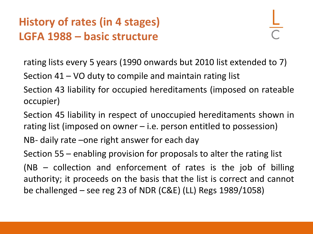## **History of rates (in 4 stages) LGFA 1988 – basic structure**

rating lists every 5 years (1990 onwards but 2010 list extended to 7)

Section 41 – VO duty to compile and maintain rating list

Section 43 liability for occupied hereditaments (imposed on rateable occupier)

Section 45 liability in respect of unoccupied hereditaments shown in rating list (imposed on owner – i.e. person entitled to possession)

NB- daily rate –one right answer for each day

Section 55 – enabling provision for proposals to alter the rating list (NB – collection and enforcement of rates is the job of billing authority; it proceeds on the basis that the list is correct and cannot be challenged – see reg 23 of NDR (C&E) (LL) Regs 1989/1058)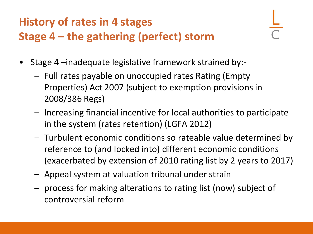# **History of rates in 4 stages Stage 4 – the gathering (perfect) storm**

- Stage 4 –inadequate legislative framework strained by:-
	- Full rates payable on unoccupied rates Rating (Empty Properties) Act 2007 (subject to exemption provisions in 2008/386 Regs)
	- Increasing financial incentive for local authorities to participate in the system (rates retention) (LGFA 2012)
	- Turbulent economic conditions so rateable value determined by reference to (and locked into) different economic conditions (exacerbated by extension of 2010 rating list by 2 years to 2017)
	- Appeal system at valuation tribunal under strain
	- process for making alterations to rating list (now) subject of controversial reform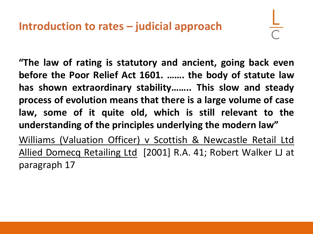**"The law of rating is statutory and ancient, going back even before the Poor Relief Act 1601. ……. the body of statute law has shown extraordinary stability…….. This slow and steady process of evolution means that there is a large volume of case law, some of it quite old, which is still relevant to the understanding of the principles underlying the modern law"** Williams (Valuation Officer) v Scottish & Newcastle Retail Ltd Allied Domecq Retailing Ltd [2001] R.A. 41; Robert Walker LJ at paragraph 17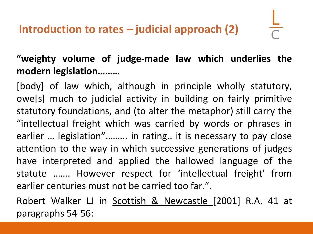#### **"weighty volume of judge-made law which underlies the modern legislation………**

[body] of law which, although in principle wholly statutory, owe[s] much to judicial activity in building on fairly primitive statutory foundations, and (to alter the metaphor) still carry the "intellectual freight which was carried by words or phrases in earlier … legislation"……... in rating.. it is necessary to pay close attention to the way in which successive generations of judges have interpreted and applied the hallowed language of the statute ……. However respect for 'intellectual freight' from earlier centuries must not be carried too far.".

Robert Walker LJ in Scottish & Newcastle [2001] R.A. 41 at paragraphs 54-56: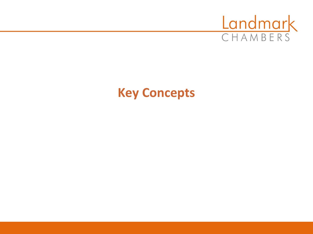

# **Key Concepts**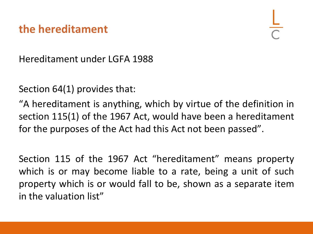#### **the hereditament**

Hereditament under LGFA 1988

Section 64(1) provides that:

"A hereditament is anything, which by virtue of the definition in section 115(1) of the 1967 Act, would have been a hereditament for the purposes of the Act had this Act not been passed".

Section 115 of the 1967 Act "hereditament" means property which is or may become liable to a rate, being a unit of such property which is or would fall to be, shown as a separate item in the valuation list"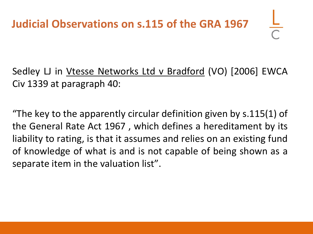# **Judicial Observations on s.115 of the GRA 1967**

Sedley LJ in Vtesse Networks Ltd v Bradford (VO) [2006] EWCA Civ 1339 at paragraph 40:

"The key to the apparently circular definition given by s.115(1) of the General Rate Act 1967 , which defines a hereditament by its liability to rating, is that it assumes and relies on an existing fund of knowledge of what is and is not capable of being shown as a separate item in the valuation list".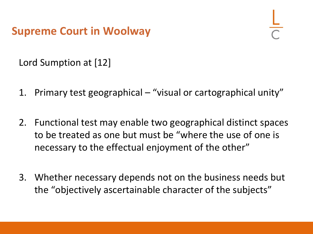**Supreme Court in Woolway**

Lord Sumption at [12]

- 1. Primary test geographical "visual or cartographical unity"
- 2. Functional test may enable two geographical distinct spaces to be treated as one but must be "where the use of one is necessary to the effectual enjoyment of the other"
- 3. Whether necessary depends not on the business needs but the "objectively ascertainable character of the subjects"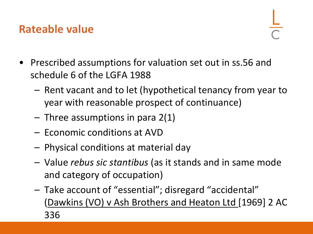### **Rateable value**

- Prescribed assumptions for valuation set out in ss.56 and schedule 6 of the LGFA 1988
	- Rent vacant and to let (hypothetical tenancy from year to year with reasonable prospect of continuance)
	- $-$  Three assumptions in para 2(1)
	- Economic conditions at AVD
	- Physical conditions at material day
	- Value *rebus sic stantibus* (as it stands and in same mode and category of occupation)
	- Take account of "essential"; disregard "accidental" (Dawkins (VO) v Ash Brothers and Heaton Ltd [1969] 2 AC 336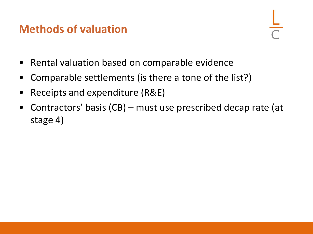#### **Methods of valuation**

- Rental valuation based on comparable evidence
- Comparable settlements (is there a tone of the list?)
- Receipts and expenditure (R&E)
- Contractors' basis (CB) must use prescribed decap rate (at stage 4)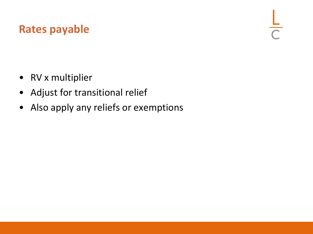### **Rates payable**

- RV x multiplier
- Adjust for transitional relief
- Also apply any reliefs or exemptions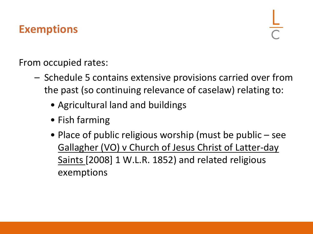## **Exemptions**

From occupied rates:

- Schedule 5 contains extensive provisions carried over from the past (so continuing relevance of caselaw) relating to:
	- Agricultural land and buildings
	- Fish farming
	- Place of public religious worship (must be public see Gallagher (VO) v Church of Jesus Christ of Latter-day Saints [2008] 1 W.L.R. 1852) and related religious exemptions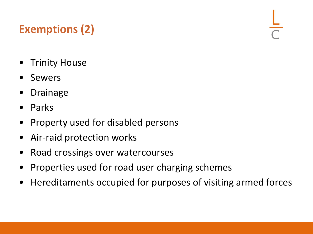# **Exemptions (2)**

- **Trinity House**
- **Sewers**
- **Drainage**
- Parks
- Property used for disabled persons
- Air-raid protection works
- Road crossings over watercourses
- Properties used for road user charging schemes
- Hereditaments occupied for purposes of visiting armed forces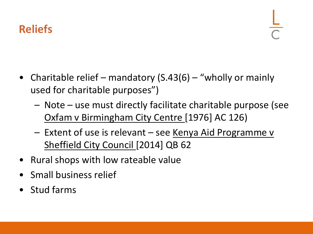## **Reliefs**

- Charitable relief mandatory (S.43(6) "wholly or mainly used for charitable purposes")
	- Note use must directly facilitate charitable purpose (see Oxfam v Birmingham City Centre [1976] AC 126)
	- Extent of use is relevant see Kenya Aid Programme v Sheffield City Council [2014] QB 62
- Rural shops with low rateable value
- Small business relief
- Stud farms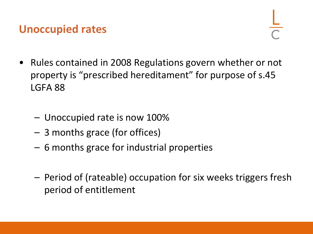#### **Unoccupied rates**

- Rules contained in 2008 Regulations govern whether or not property is "prescribed hereditament" for purpose of s.45 LGFA 88
	- Unoccupied rate is now 100%
	- 3 months grace (for offices)
	- 6 months grace for industrial properties
	- Period of (rateable) occupation for six weeks triggers fresh period of entitlement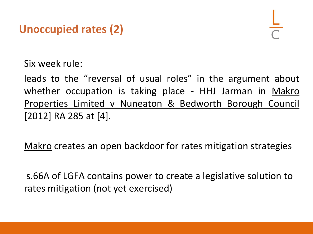



Six week rule:

leads to the "reversal of usual roles" in the argument about whether occupation is taking place - HHJ Jarman in Makro Properties Limited v Nuneaton & Bedworth Borough Council [2012] RA 285 at [4].

Makro creates an open backdoor for rates mitigation strategies

s.66A of LGFA contains power to create a legislative solution to rates mitigation (not yet exercised)